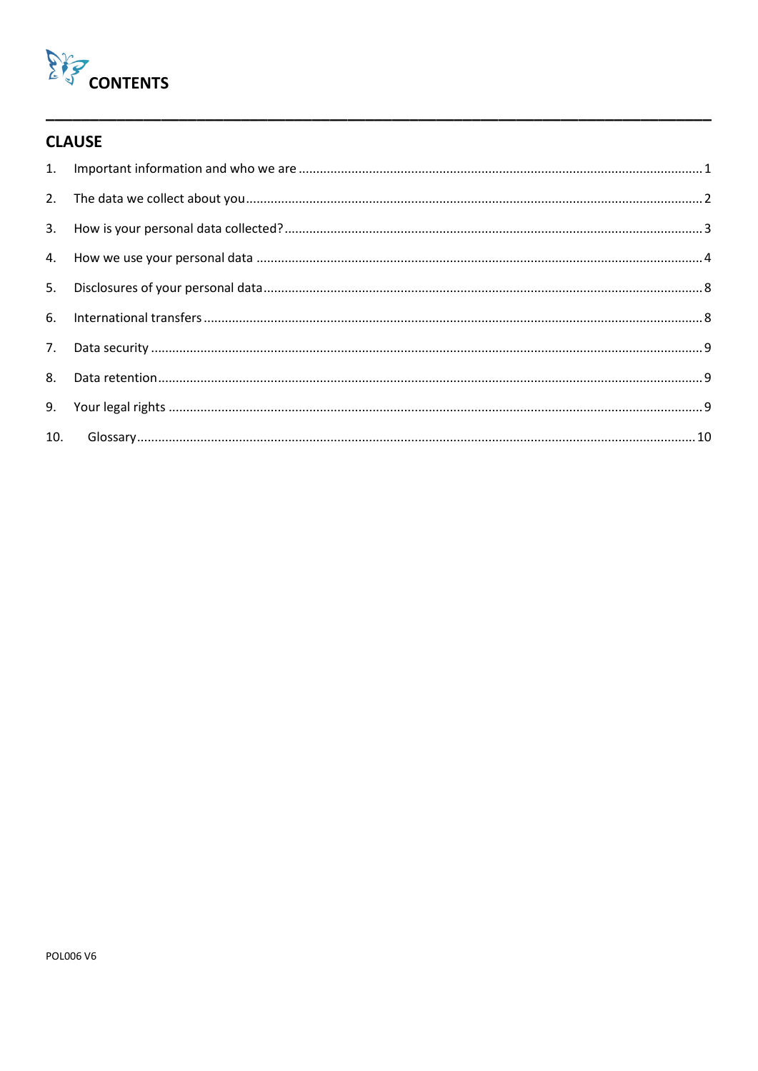

# **CLAUSE**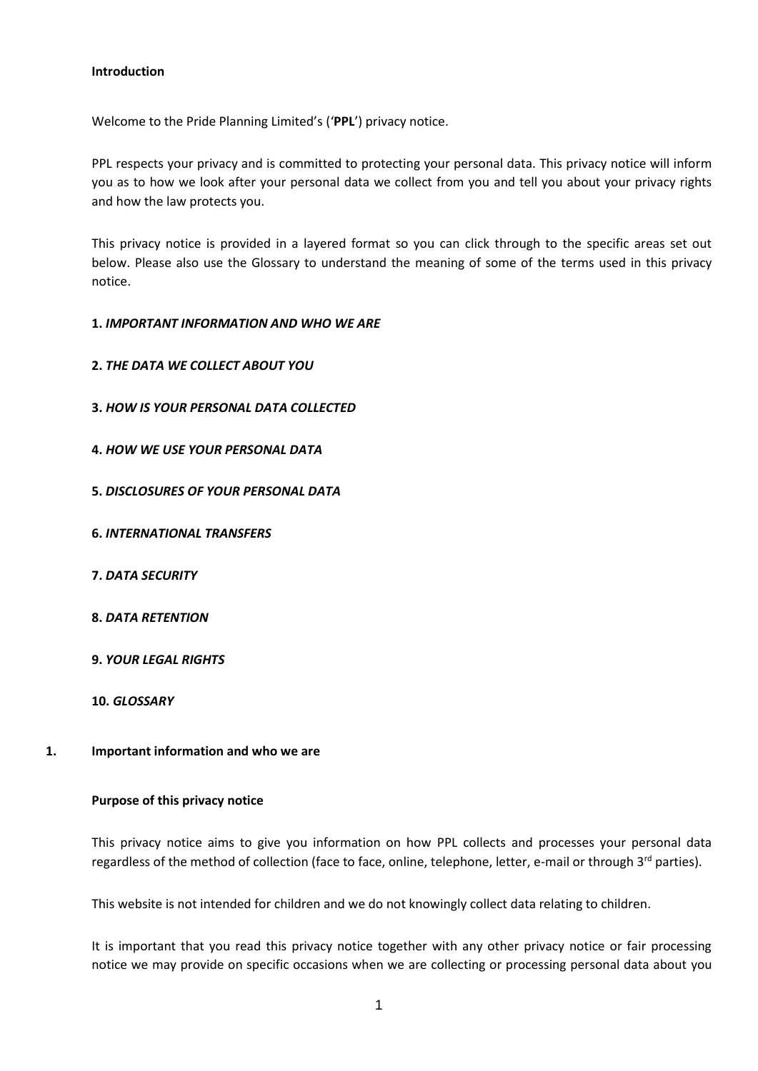## **Introduction**

Welcome to the Pride Planning Limited's ('**PPL**') privacy notice.

PPL respects your privacy and is committed to protecting your personal data. This privacy notice will inform you as to how we look after your personal data we collect from you and tell you about your privacy rights and how the law protects you.

This privacy notice is provided in a layered format so you can click through to the specific areas set out below. Please also use the Glossary to understand the meaning of some of the terms used in this privacy notice.

## **1.** *IMPORTANT INFORMATION AND WHO WE ARE*

- **2.** *THE DATA WE COLLECT ABOUT YOU*
- **3.** *HOW IS YOUR PERSONAL DATA COLLECTED*
- **4.** *HOW WE USE YOUR PERSONAL DATA*
- **5.** *DISCLOSURES OF YOUR PERSONAL DATA*
- **6.** *INTERNATIONAL TRANSFERS*
- **7.** *DATA SECURITY*
- **8.** *DATA RETENTION*
- **9.** *YOUR LEGAL RIGHTS*
- <span id="page-1-0"></span>**10.** *GLOSSARY*
- **1. Important information and who we are**

## **Purpose of this privacy notice**

This privacy notice aims to give you information on how PPL collects and processes your personal data regardless of the method of collection (face to face, online, telephone, letter, e-mail or through  $3<sup>rd</sup>$  parties).

This website is not intended for children and we do not knowingly collect data relating to children.

It is important that you read this privacy notice together with any other privacy notice or fair processing notice we may provide on specific occasions when we are collecting or processing personal data about you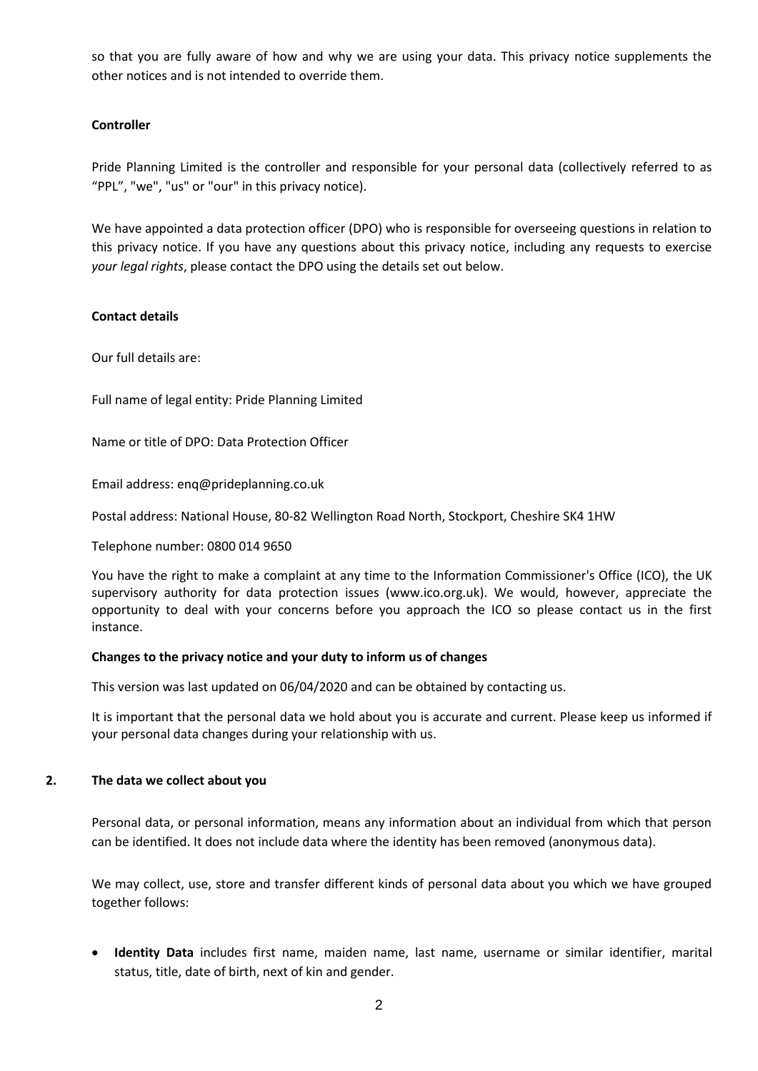so that you are fully aware of how and why we are using your data. This privacy notice supplements the other notices and is not intended to override them.

## **Controller**

Pride Planning Limited is the controller and responsible for your personal data (collectively referred to as "PPL", "we", "us" or "our" in this privacy notice).

We have appointed a data protection officer (DPO) who is responsible for overseeing questions in relation to this privacy notice. If you have any questions about this privacy notice, including any requests to exercise *your legal rights*, please contact the DPO using the details set out below.

## <span id="page-2-1"></span>**Contact details**

Our full details are:

Full name of legal entity: Pride Planning Limited

Name or title of DPO: Data Protection Officer

Email address: enq@prideplanning.co.uk

Postal address: National House, 80-82 Wellington Road North, Stockport, Cheshire SK4 1HW

Telephone number: 0800 014 9650

You have the right to make a complaint at any time to the Information Commissioner's Office (ICO), the UK supervisory authority for data protection issues (www.ico.org.uk). We would, however, appreciate the opportunity to deal with your concerns before you approach the ICO so please contact us in the first instance.

## **Changes to the privacy notice and your duty to inform us of changes**

This version was last updated on 06/04/2020 and can be obtained by contacting us.

<span id="page-2-0"></span>It is important that the personal data we hold about you is accurate and current. Please keep us informed if your personal data changes during your relationship with us.

## **2. The data we collect about you**

Personal data, or personal information, means any information about an individual from which that person can be identified. It does not include data where the identity has been removed (anonymous data).

We may collect, use, store and transfer different kinds of personal data about you which we have grouped together follows:

• **Identity Data** includes first name, maiden name, last name, username or similar identifier, marital status, title, date of birth, next of kin and gender.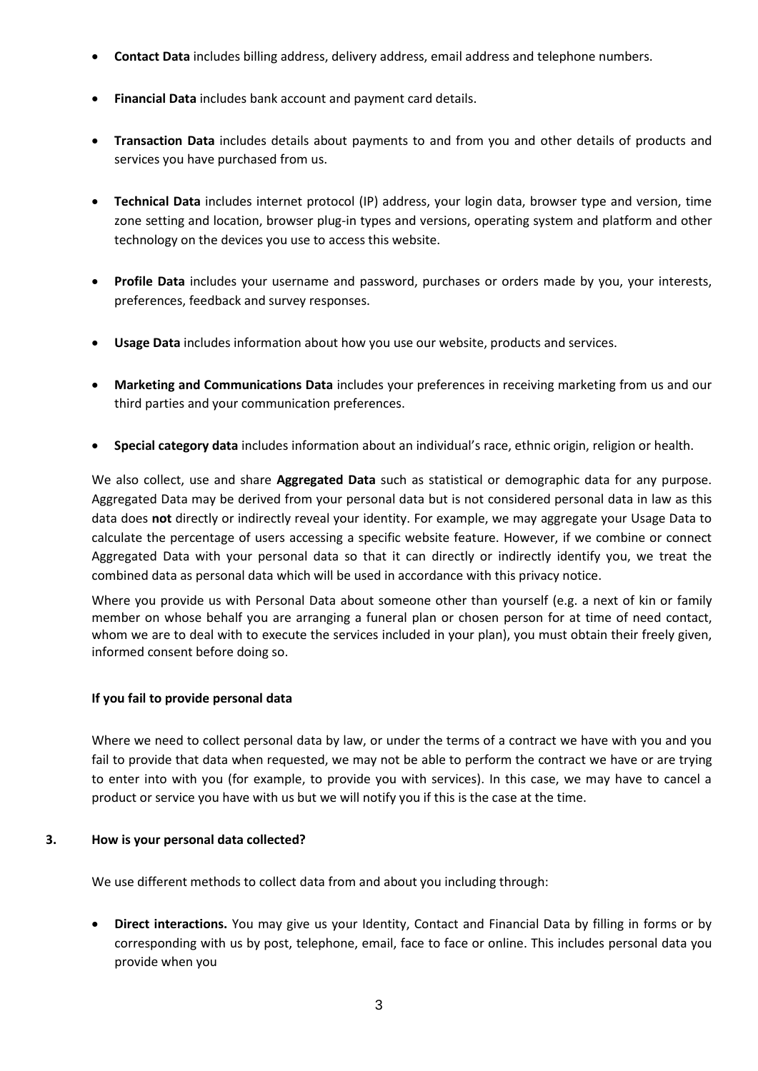- **Contact Data** includes billing address, delivery address, email address and telephone numbers.
- **Financial Data** includes bank account and payment card details.
- **Transaction Data** includes details about payments to and from you and other details of products and services you have purchased from us.
- **Technical Data** includes internet protocol (IP) address, your login data, browser type and version, time zone setting and location, browser plug-in types and versions, operating system and platform and other technology on the devices you use to access this website.
- **Profile Data** includes your username and password, purchases or orders made by you, your interests, preferences, feedback and survey responses.
- **Usage Data** includes information about how you use our website, products and services.
- **Marketing and Communications Data** includes your preferences in receiving marketing from us and our third parties and your communication preferences.
- **Special category data** includes information about an individual's race, ethnic origin, religion or health.

We also collect, use and share **Aggregated Data** such as statistical or demographic data for any purpose. Aggregated Data may be derived from your personal data but is not considered personal data in law as this data does **not** directly or indirectly reveal your identity. For example, we may aggregate your Usage Data to calculate the percentage of users accessing a specific website feature. However, if we combine or connect Aggregated Data with your personal data so that it can directly or indirectly identify you, we treat the combined data as personal data which will be used in accordance with this privacy notice.

Where you provide us with Personal Data about someone other than yourself (e.g. a next of kin or family member on whose behalf you are arranging a funeral plan or chosen person for at time of need contact, whom we are to deal with to execute the services included in your plan), you must obtain their freely given, informed consent before doing so.

## **If you fail to provide personal data**

Where we need to collect personal data by law, or under the terms of a contract we have with you and you fail to provide that data when requested, we may not be able to perform the contract we have or are trying to enter into with you (for example, to provide you with services). In this case, we may have to cancel a product or service you have with us but we will notify you if this is the case at the time.

## <span id="page-3-0"></span>**3. How is your personal data collected?**

We use different methods to collect data from and about you including through:

• **Direct interactions.** You may give us your Identity, Contact and Financial Data by filling in forms or by corresponding with us by post, telephone, email, face to face or online. This includes personal data you provide when you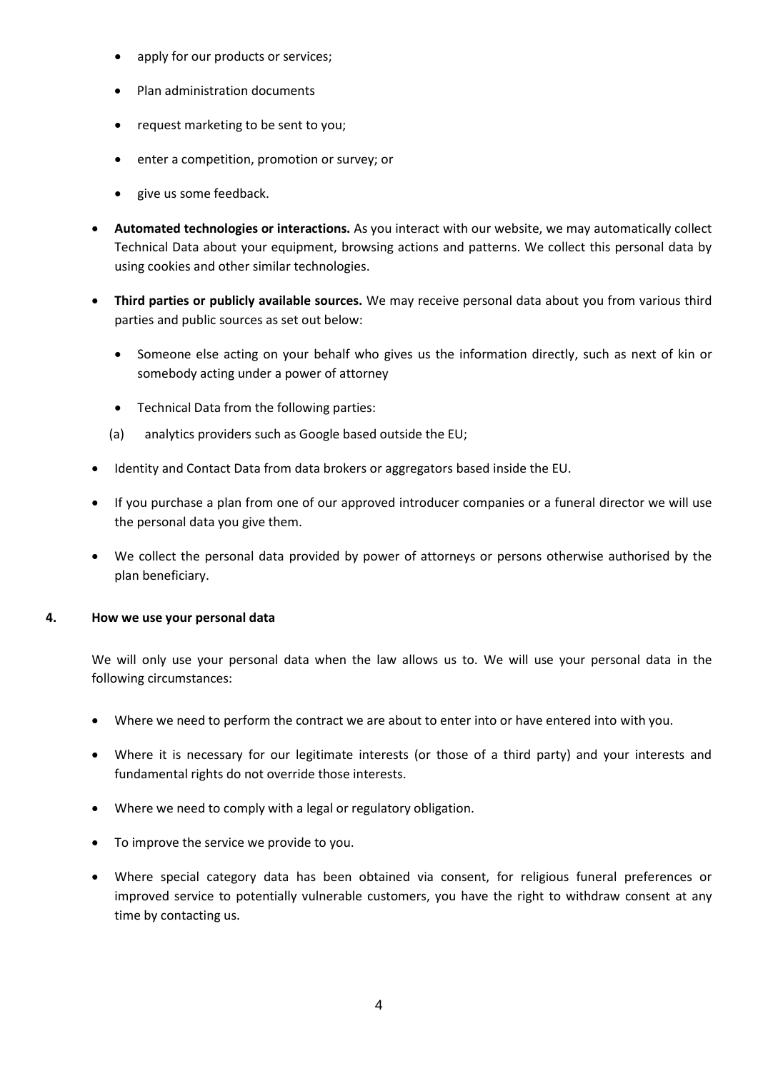- apply for our products or services;
- Plan administration documents
- request marketing to be sent to you;
- enter a competition, promotion or survey; or
- give us some feedback.
- **Automated technologies or interactions.** As you interact with our website, we may automatically collect Technical Data about your equipment, browsing actions and patterns. We collect this personal data by using cookies and other similar technologies.
- **Third parties or publicly available sources.** We may receive personal data about you from various third parties and public sources as set out below:
	- Someone else acting on your behalf who gives us the information directly, such as next of kin or somebody acting under a power of attorney
	- Technical Data from the following parties:
	- (a) analytics providers such as Google based outside the EU;
- Identity and Contact Data from data brokers or aggregators based inside the EU.
- If you purchase a plan from one of our approved introducer companies or a funeral director we will use the personal data you give them.
- <span id="page-4-0"></span>• We collect the personal data provided by power of attorneys or persons otherwise authorised by the plan beneficiary.

## **4. How we use your personal data**

We will only use your personal data when the law allows us to. We will use your personal data in the following circumstances:

- Where we need to perform the contract we are about to enter into or have entered into with you.
- Where it is necessary for our legitimate interests (or those of a third party) and your interests and fundamental rights do not override those interests.
- Where we need to comply with a legal or regulatory obligation.
- To improve the service we provide to you.
- Where special category data has been obtained via consent, for religious funeral preferences or improved service to potentially vulnerable customers, you have the right to withdraw consent at any time by contacting us.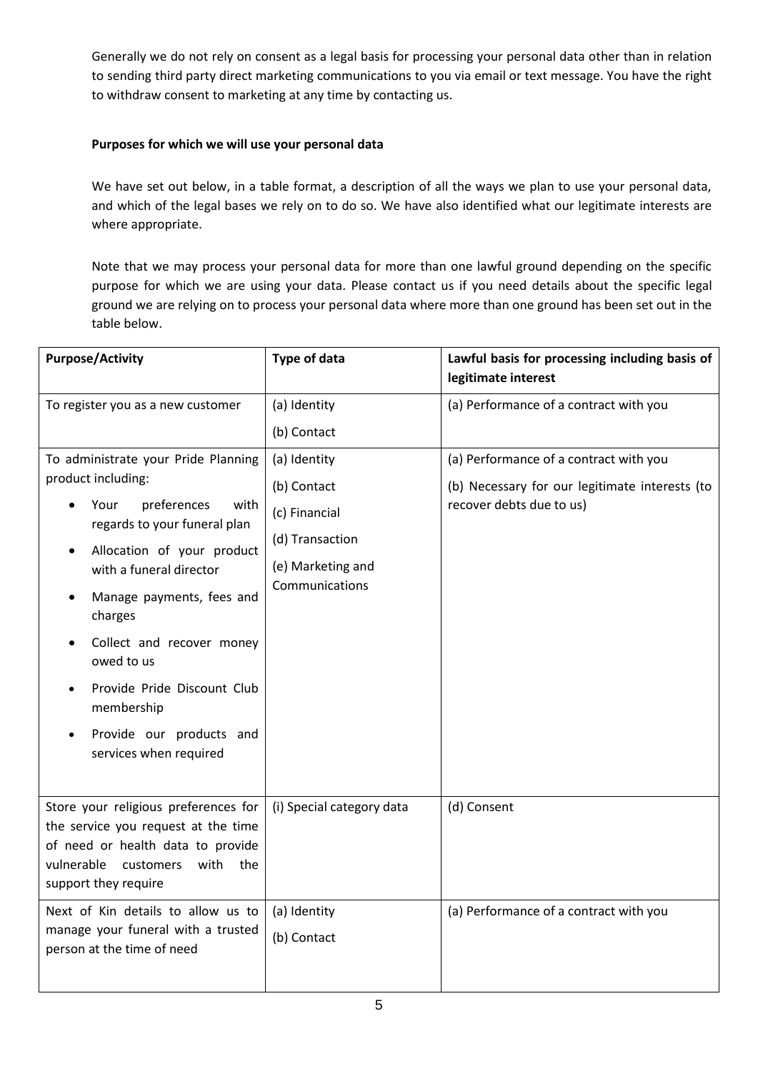Generally we do not rely on consent as a legal basis for processing your personal data other than in relation to sending third party direct marketing communications to you via email or text message. You have the right to withdraw consent to marketing at any time by [contacting us.](#page-2-1)

## **Purposes for which we will use your personal data**

We have set out below, in a table format, a description of all the ways we plan to use your personal data, and which of the legal bases we rely on to do so. We have also identified what our legitimate interests are where appropriate.

Note that we may process your personal data for more than one lawful ground depending on the specific purpose for which we are using your data. Please [contact us](#page-2-1) if you need details about the specific legal ground we are relying on to process your personal data where more than one ground has been set out in the table below.

| <b>Purpose/Activity</b>                                                                                                                                                                                                                                                                                                                                                              | <b>Type of data</b>                                                                                    | Lawful basis for processing including basis of<br>legitimate interest                                                |
|--------------------------------------------------------------------------------------------------------------------------------------------------------------------------------------------------------------------------------------------------------------------------------------------------------------------------------------------------------------------------------------|--------------------------------------------------------------------------------------------------------|----------------------------------------------------------------------------------------------------------------------|
| To register you as a new customer                                                                                                                                                                                                                                                                                                                                                    | (a) Identity<br>(b) Contact                                                                            | (a) Performance of a contract with you                                                                               |
| To administrate your Pride Planning<br>product including:<br>preferences<br>Your<br>with<br>regards to your funeral plan<br>Allocation of your product<br>$\bullet$<br>with a funeral director<br>Manage payments, fees and<br>charges<br>Collect and recover money<br>owed to us<br>Provide Pride Discount Club<br>membership<br>Provide our products and<br>services when required | (a) Identity<br>(b) Contact<br>(c) Financial<br>(d) Transaction<br>(e) Marketing and<br>Communications | (a) Performance of a contract with you<br>(b) Necessary for our legitimate interests (to<br>recover debts due to us) |
| Store your religious preferences for<br>the service you request at the time<br>of need or health data to provide<br>vulnerable<br>customers<br>with<br>the<br>support they require                                                                                                                                                                                                   | (i) Special category data                                                                              | (d) Consent                                                                                                          |
| Next of Kin details to allow us to<br>manage your funeral with a trusted<br>person at the time of need                                                                                                                                                                                                                                                                               | (a) Identity<br>(b) Contact                                                                            | (a) Performance of a contract with you                                                                               |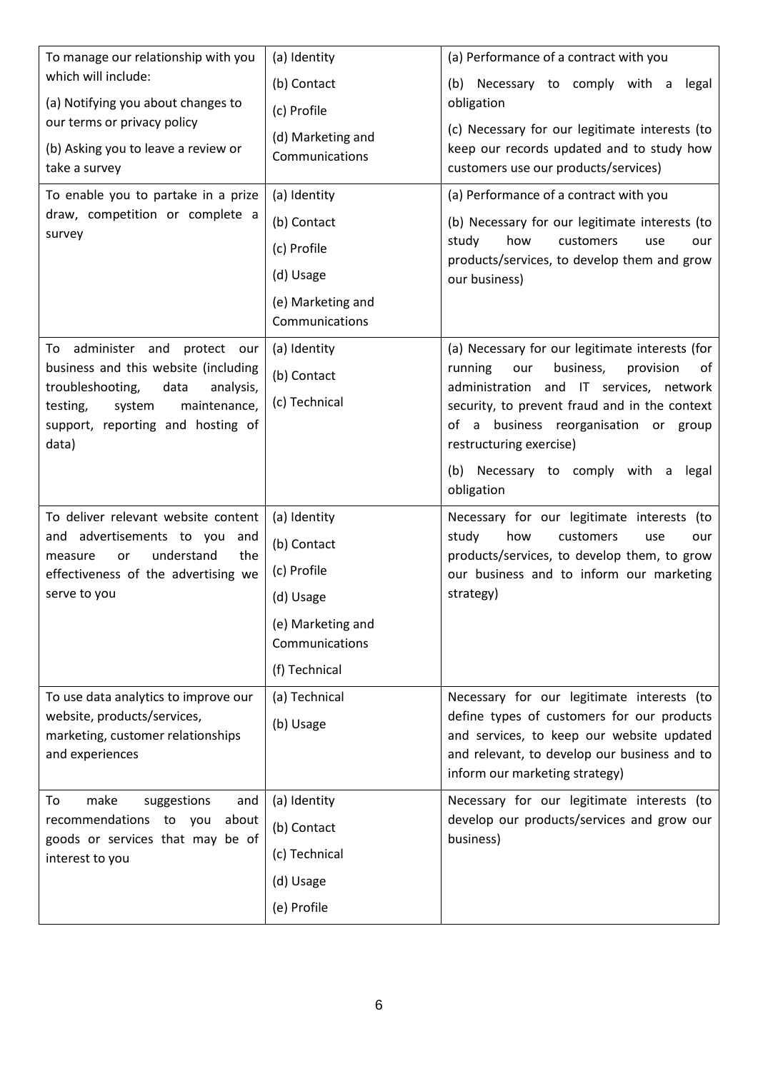| To manage our relationship with you                                                 | (a) Identity                        | (a) Performance of a contract with you                                                                                              |
|-------------------------------------------------------------------------------------|-------------------------------------|-------------------------------------------------------------------------------------------------------------------------------------|
| which will include:                                                                 | (b) Contact                         | (b) Necessary to comply with a<br>legal                                                                                             |
| (a) Notifying you about changes to                                                  | (c) Profile                         | obligation                                                                                                                          |
| our terms or privacy policy<br>(b) Asking you to leave a review or<br>take a survey | (d) Marketing and<br>Communications | (c) Necessary for our legitimate interests (to<br>keep our records updated and to study how<br>customers use our products/services) |
| To enable you to partake in a prize                                                 | (a) Identity                        | (a) Performance of a contract with you                                                                                              |
| draw, competition or complete a                                                     | (b) Contact                         | (b) Necessary for our legitimate interests (to<br>study<br>how<br>customers<br>use<br>our                                           |
| survey                                                                              | (c) Profile                         |                                                                                                                                     |
|                                                                                     | (d) Usage                           | products/services, to develop them and grow<br>our business)                                                                        |
|                                                                                     | (e) Marketing and<br>Communications |                                                                                                                                     |
| To administer and protect our                                                       | (a) Identity                        | (a) Necessary for our legitimate interests (for                                                                                     |
| business and this website (including<br>troubleshooting,<br>data<br>analysis,       | (b) Contact                         | running<br>business,<br>provision<br>our<br>οf<br>administration and IT services, network                                           |
| maintenance,<br>testing,<br>system                                                  | (c) Technical                       | security, to prevent fraud and in the context                                                                                       |
| support, reporting and hosting of<br>data)                                          |                                     | of a business reorganisation or group<br>restructuring exercise)                                                                    |
|                                                                                     |                                     | (b) Necessary to comply with a<br>legal<br>obligation                                                                               |
| To deliver relevant website content                                                 | (a) Identity                        | Necessary for our legitimate interests (to                                                                                          |
| and advertisements to you<br>and<br>understand<br>the<br>or<br>measure              | (b) Contact                         | study<br>customers<br>how<br>use<br>our<br>products/services, to develop them, to grow<br>our business and to inform our marketing  |
| effectiveness of the advertising we                                                 | (c) Profile                         |                                                                                                                                     |
| serve to you                                                                        | (d) Usage                           | strategy)                                                                                                                           |
|                                                                                     | (e) Marketing and<br>Communications |                                                                                                                                     |
|                                                                                     | (f) Technical                       |                                                                                                                                     |
| To use data analytics to improve our                                                | (a) Technical                       | Necessary for our legitimate interests (to                                                                                          |
| website, products/services,                                                         | (b) Usage                           | define types of customers for our products<br>and services, to keep our website updated                                             |
| marketing, customer relationships<br>and experiences                                |                                     | and relevant, to develop our business and to<br>inform our marketing strategy)                                                      |
| make<br>suggestions<br>To<br>and                                                    | (a) Identity                        | Necessary for our legitimate interests (to<br>develop our products/services and grow our<br>business)                               |
| recommendations<br>to<br>about<br>you<br>goods or services that may be of           | (b) Contact                         |                                                                                                                                     |
| interest to you                                                                     | (c) Technical                       |                                                                                                                                     |
|                                                                                     | (d) Usage                           |                                                                                                                                     |
|                                                                                     | (e) Profile                         |                                                                                                                                     |
|                                                                                     |                                     |                                                                                                                                     |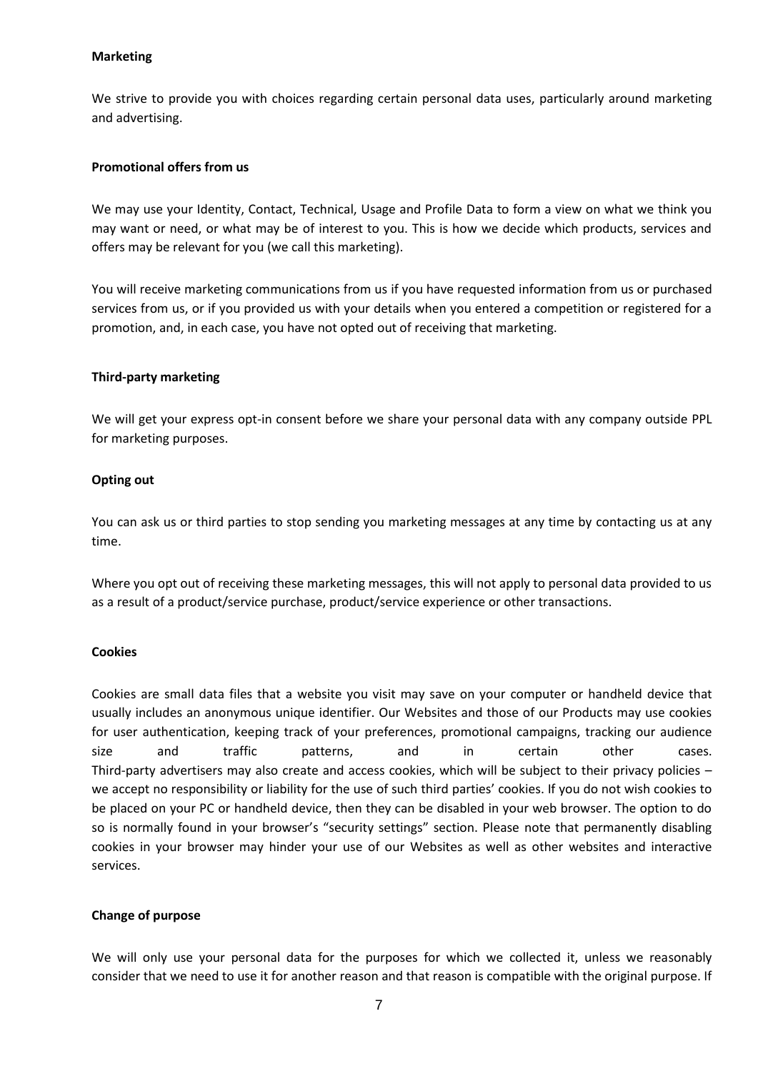## **Marketing**

We strive to provide you with choices regarding certain personal data uses, particularly around marketing and advertising.

#### **Promotional offers from us**

We may use your Identity, Contact, Technical, Usage and Profile Data to form a view on what we think you may want or need, or what may be of interest to you. This is how we decide which products, services and offers may be relevant for you (we call this marketing).

You will receive marketing communications from us if you have requested information from us or purchased services from us, or if you provided us with your details when you entered a competition or registered for a promotion, and, in each case, you have not opted out of receiving that marketing.

#### **Third-party marketing**

We will get your express opt-in consent before we share your personal data with any company outside PPL for marketing purposes.

#### **Opting out**

You can ask us or third parties to stop sending you marketing messages at any time by [contacting us](#page-2-1) at any time.

Where you opt out of receiving these marketing messages, this will not apply to personal data provided to us as a result of a product/service purchase, product/service experience or other transactions.

#### **Cookies**

Cookies are small data files that a website you visit may save on your computer or handheld device that usually includes an anonymous unique identifier. Our Websites and those of our Products may use cookies for user authentication, keeping track of your preferences, promotional campaigns, tracking our audience size and traffic patterns, and in certain other cases. Third-party advertisers may also create and access cookies, which will be subject to their privacy policies – we accept no responsibility or liability for the use of such third parties' cookies. If you do not wish cookies to be placed on your PC or handheld device, then they can be disabled in your web browser. The option to do so is normally found in your browser's "security settings" section. Please note that permanently disabling cookies in your browser may hinder your use of our Websites as well as other websites and interactive services.

#### **Change of purpose**

We will only use your personal data for the purposes for which we collected it, unless we reasonably consider that we need to use it for another reason and that reason is compatible with the original purpose. If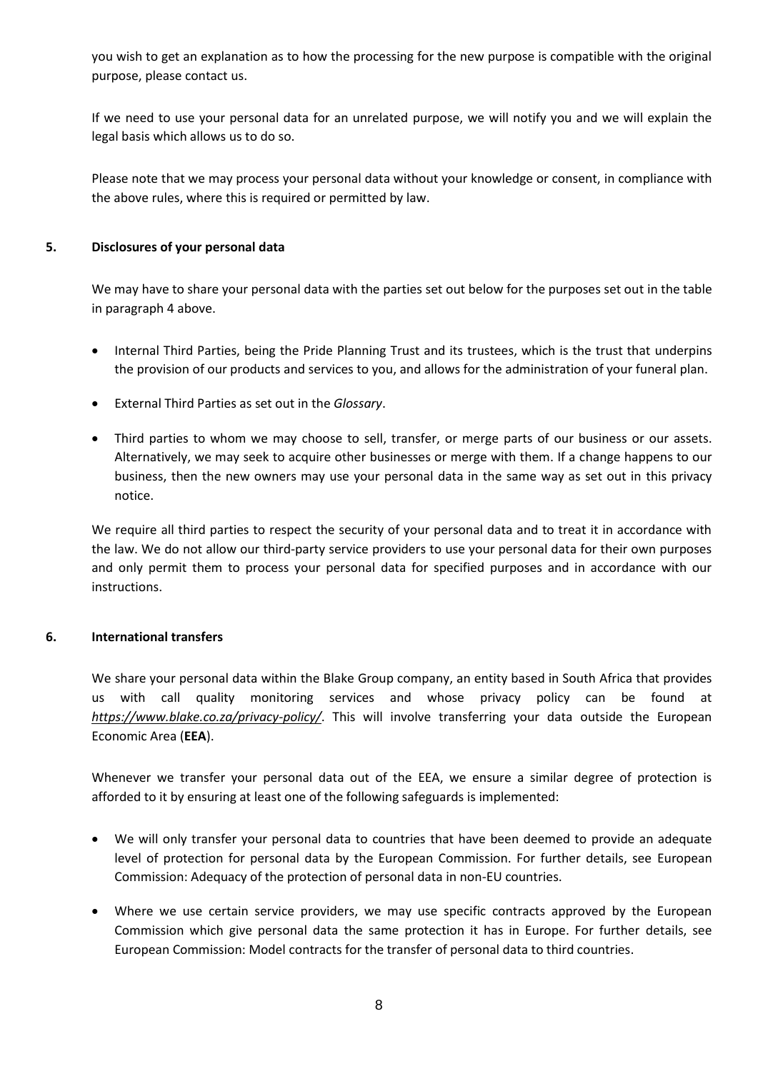you wish to get an explanation as to how the processing for the new purpose is compatible with the original purpose, please [contact us.](#page-2-1)

If we need to use your personal data for an unrelated purpose, we will notify you and we will explain the legal basis which allows us to do so.

Please note that we may process your personal data without your knowledge or consent, in compliance with the above rules, where this is required or permitted by law.

## <span id="page-8-0"></span>**5. Disclosures of your personal data**

We may have to share your personal data with the parties set out below for the purposes set out in the table in paragraph 4 above.

- Internal Third Parties, being the Pride Planning Trust and its trustees, which is the trust that underpins the provision of our products and services to you, and allows for the administration of your funeral plan.
- External Third Parties as set out in the *Glossary*.
- Third parties to whom we may choose to sell, transfer, or merge parts of our business or our assets. Alternatively, we may seek to acquire other businesses or merge with them. If a change happens to our business, then the new owners may use your personal data in the same way as set out in this privacy notice.

We require all third parties to respect the security of your personal data and to treat it in accordance with the law. We do not allow our third-party service providers to use your personal data for their own purposes and only permit them to process your personal data for specified purposes and in accordance with our instructions.

## <span id="page-8-1"></span>**6. International transfers**

We share your personal data within the Blake Group company, an entity based in South Africa that provides us with call quality monitoring services and whose privacy policy can be found at *<https://www.blake.co.za/privacy-policy/>*. This will involve transferring your data outside the European Economic Area (**EEA**).

Whenever we transfer your personal data out of the EEA, we ensure a similar degree of protection is afforded to it by ensuring at least one of the following safeguards is implemented:

- We will only transfer your personal data to countries that have been deemed to provide an adequate level of protection for personal data by the European Commission. For further details, see European Commission: Adequacy of the protection of personal data in non-EU countries.
- Where we use certain service providers, we may use specific contracts approved by the European Commission which give personal data the same protection it has in Europe. For further details, see European Commission: Model contracts for the transfer of personal data to third countries.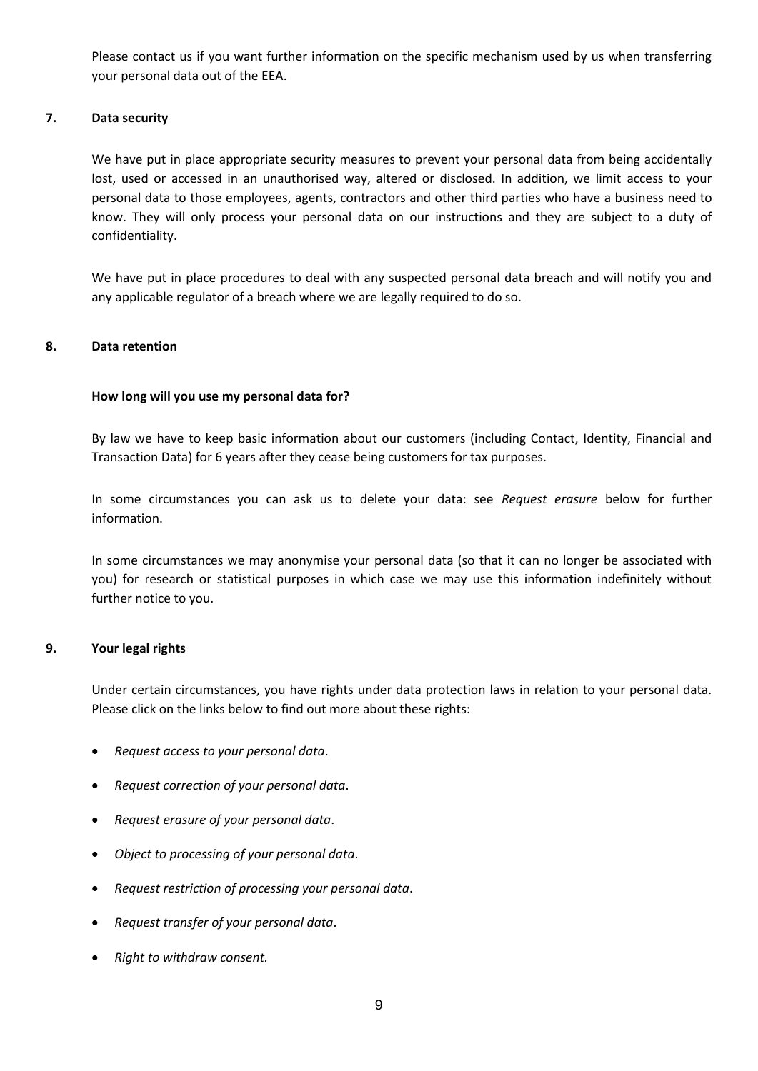<span id="page-9-0"></span>Please [contact us](#page-2-1) if you want further information on the specific mechanism used by us when transferring your personal data out of the EEA.

## **7. Data security**

We have put in place appropriate security measures to prevent your personal data from being accidentally lost, used or accessed in an unauthorised way, altered or disclosed. In addition, we limit access to your personal data to those employees, agents, contractors and other third parties who have a business need to know. They will only process your personal data on our instructions and they are subject to a duty of confidentiality.

We have put in place procedures to deal with any suspected personal data breach and will notify you and any applicable regulator of a breach where we are legally required to do so.

## <span id="page-9-1"></span>**8. Data retention**

## **How long will you use my personal data for?**

By law we have to keep basic information about our customers (including Contact, Identity, Financial and Transaction Data) for 6 years after they cease being customers for tax purposes.

In some circumstances you can ask us to delete your data: see *Request erasure* below for further information.

In some circumstances we may anonymise your personal data (so that it can no longer be associated with you) for research or statistical purposes in which case we may use this information indefinitely without further notice to you.

## <span id="page-9-2"></span>**9. Your legal rights**

Under certain circumstances, you have rights under data protection laws in relation to your personal data. Please click on the links below to find out more about these rights:

- *Request access to your personal data*.
- *Request correction of your personal data*.
- *Request erasure of your personal data*.
- *Object to processing of your personal data*.
- *Request restriction of processing your personal data*.
- *Request transfer of your personal data*.
- *Right to withdraw consent.*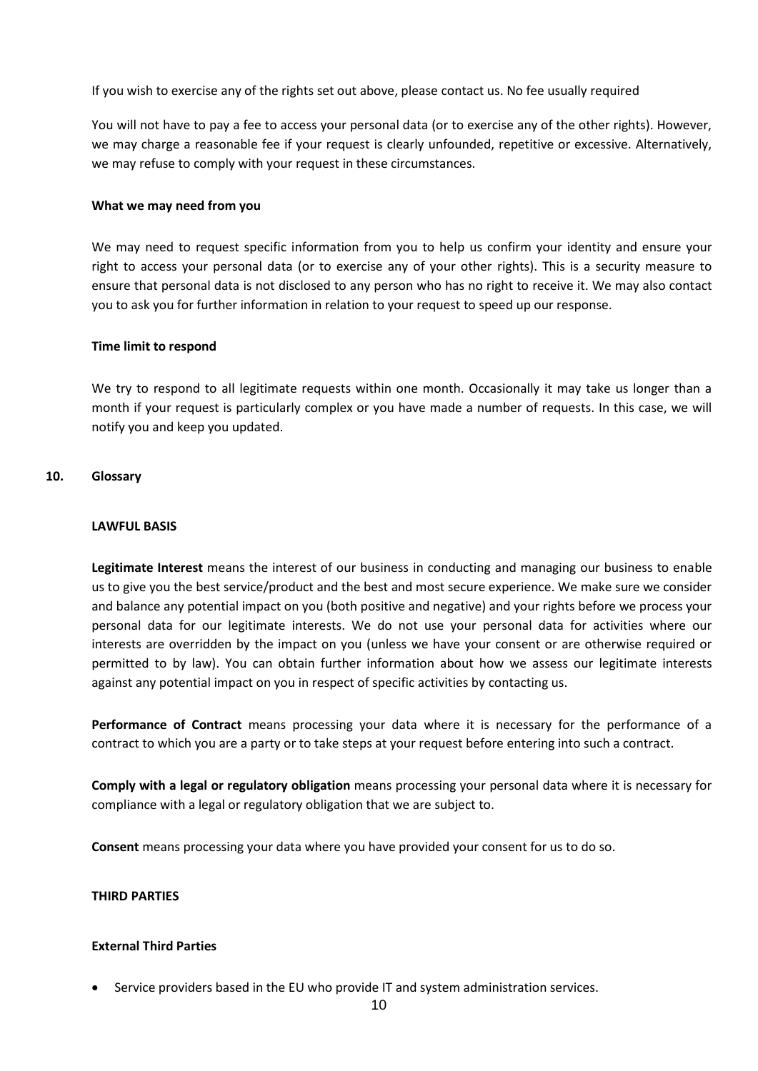If you wish to exercise any of the rights set out above, pleas[e contact](#page-2-1) us. No fee usually required

You will not have to pay a fee to access your personal data (or to exercise any of the other rights). However, we may charge a reasonable fee if your request is clearly unfounded, repetitive or excessive. Alternatively, we may refuse to comply with your request in these circumstances.

## **What we may need from you**

We may need to request specific information from you to help us confirm your identity and ensure your right to access your personal data (or to exercise any of your other rights). This is a security measure to ensure that personal data is not disclosed to any person who has no right to receive it. We may also contact you to ask you for further information in relation to your request to speed up our response.

## **Time limit to respond**

We try to respond to all legitimate requests within one month. Occasionally it may take us longer than a month if your request is particularly complex or you have made a number of requests. In this case, we will notify you and keep you updated.

## <span id="page-10-0"></span>**10. Glossary**

## **LAWFUL BASIS**

**Legitimate Interest** means the interest of our business in conducting and managing our business to enable us to give you the best service/product and the best and most secure experience. We make sure we consider and balance any potential impact on you (both positive and negative) and your rights before we process your personal data for our legitimate interests. We do not use your personal data for activities where our interests are overridden by the impact on you (unless we have your consent or are otherwise required or permitted to by law). You can obtain further information about how we assess our legitimate interests against any potential impact on you in respect of specific activities b[y contacting us.](#page-2-1)

**Performance of Contract** means processing your data where it is necessary for the performance of a contract to which you are a party or to take steps at your request before entering into such a contract.

**Comply with a legal or regulatory obligation** means processing your personal data where it is necessary for compliance with a legal or regulatory obligation that we are subject to.

**Consent** means processing your data where you have provided your consent for us to do so.

## **THIRD PARTIES**

## **External Third Parties**

• Service providers based in the EU who provide IT and system administration services.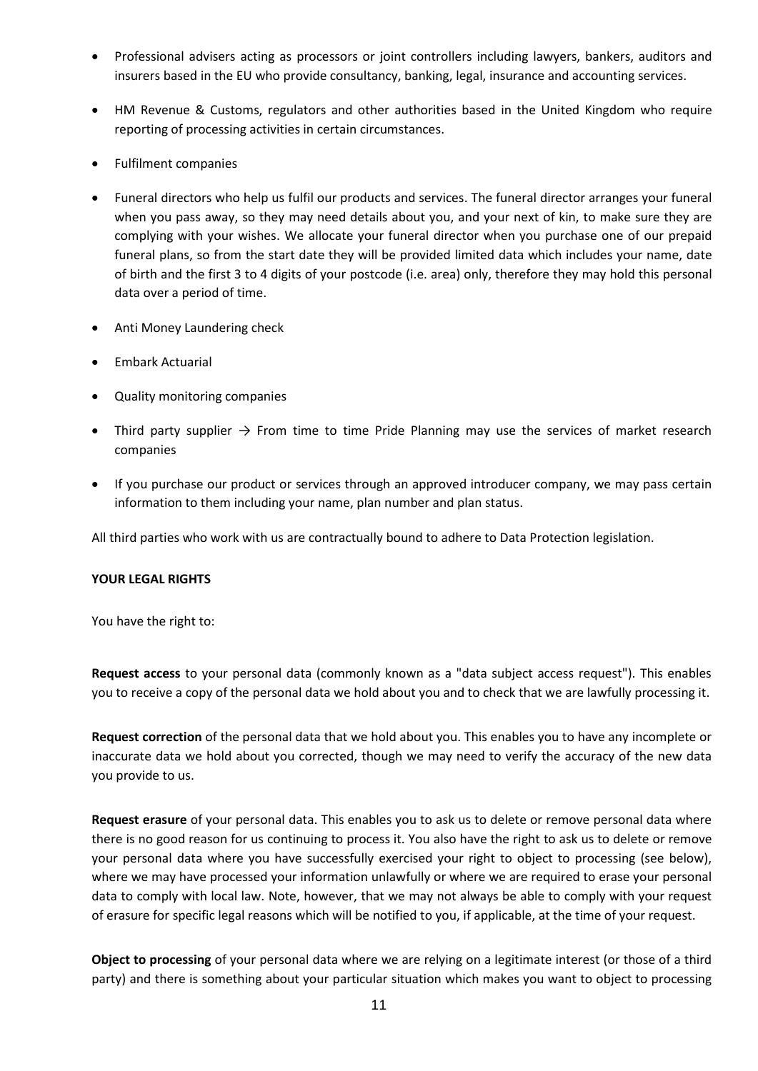- Professional advisers acting as processors or joint controllers including lawyers, bankers, auditors and insurers based in the EU who provide consultancy, banking, legal, insurance and accounting services.
- HM Revenue & Customs, regulators and other authorities based in the United Kingdom who require reporting of processing activities in certain circumstances.
- Fulfilment companies
- Funeral directors who help us fulfil our products and services. The funeral director arranges your funeral when you pass away, so they may need details about you, and your next of kin, to make sure they are complying with your wishes. We allocate your funeral director when you purchase one of our prepaid funeral plans, so from the start date they will be provided limited data which includes your name, date of birth and the first 3 to 4 digits of your postcode (i.e. area) only, therefore they may hold this personal data over a period of time.
- Anti Money Laundering check
- Embark Actuarial
- Quality monitoring companies
- Third party supplier  $\rightarrow$  From time to time Pride Planning may use the services of market research companies
- If you purchase our product or services through an approved introducer company, we may pass certain information to them including your name, plan number and plan status.

All third parties who work with us are contractually bound to adhere to Data Protection legislation.

## **YOUR LEGAL RIGHTS**

You have the right to:

**Request access** to your personal data (commonly known as a "data subject access request"). This enables you to receive a copy of the personal data we hold about you and to check that we are lawfully processing it.

**Request correction** of the personal data that we hold about you. This enables you to have any incomplete or inaccurate data we hold about you corrected, though we may need to verify the accuracy of the new data you provide to us.

**Request erasure** of your personal data. This enables you to ask us to delete or remove personal data where there is no good reason for us continuing to process it. You also have the right to ask us to delete or remove your personal data where you have successfully exercised your right to object to processing (see below), where we may have processed your information unlawfully or where we are required to erase your personal data to comply with local law. Note, however, that we may not always be able to comply with your request of erasure for specific legal reasons which will be notified to you, if applicable, at the time of your request.

**Object to processing** of your personal data where we are relying on a legitimate interest (or those of a third party) and there is something about your particular situation which makes you want to object to processing